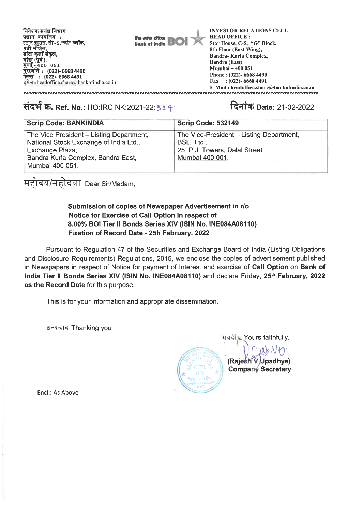

## संदर्भ क्र. Ref. No.: HO:IRC:NK:2021-22:324

## दिनांक Date: 21-02-2022

| <b>Scrip Code: BANKINDIA</b>             | Scrip Code: 532149                       |
|------------------------------------------|------------------------------------------|
| The Vice President – Listing Department, | The Vice-President - Listing Department, |
| National Stock Exchange of India Ltd.,   | BSE Ltd.,                                |
| Exchange Plaza,                          | 25, P.J. Towers, Dalal Street,           |
| Bandra Kurla Complex, Bandra East,       | Mumbai 400 001.                          |
| Mumbai 400 051.                          |                                          |

महोदय/महोदया Dear Sir/Madam,

## Submission of copies of Newspaper Advertisement in r/o Notice for Exercise of Call Option in respect of 8.00% BOI Tier II Bonds Series XIV (ISIN No. INE084A08110) Fixation of Record Date - 25h February, 2022

Pursuant to Regulation 47 of the Securities and Exchange Board of India (Listing Obligations and Disclosure Requirements) Regulations, 2015, we enclose the copies of advertisement published in Newspapers in respect of Notice for payment of Interest and exercise of Call Option on Bank of India Tier II Bonds Series XIV (ISIN No. INE084A08110) and declare Friday, 25<sup>th</sup> February, 2022 as the Record Date for this purpose.

This is for your information and appropriate dissemination.

धन्यवाद Thanking you



Encl.: As Above